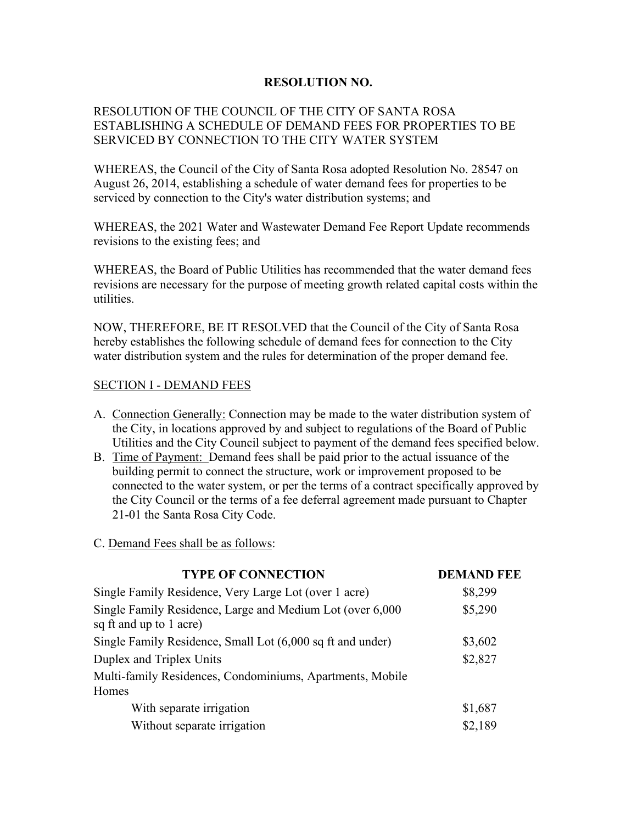## **RESOLUTION NO.**

## RESOLUTION OF THE COUNCIL OF THE CITY OF SANTA ROSA ESTABLISHING A SCHEDULE OF DEMAND FEES FOR PROPERTIES TO BE SERVICED BY CONNECTION TO THE CITY WATER SYSTEM

WHEREAS, the Council of the City of Santa Rosa adopted Resolution No. 28547 on August 26, 2014, establishing a schedule of water demand fees for properties to be serviced by connection to the City's water distribution systems; and

WHEREAS, the 2021 Water and Wastewater Demand Fee Report Update recommends revisions to the existing fees; and

WHEREAS, the Board of Public Utilities has recommended that the water demand fees revisions are necessary for the purpose of meeting growth related capital costs within the utilities.

NOW, THEREFORE, BE IT RESOLVED that the Council of the City of Santa Rosa hereby establishes the following schedule of demand fees for connection to the City water distribution system and the rules for determination of the proper demand fee.

## SECTION I - DEMAND FEES

- A. Connection Generally: Connection may be made to the water distribution system of the City, in locations approved by and subject to regulations of the Board of Public Utilities and the City Council subject to payment of the demand fees specified below.
- B. Time of Payment: Demand fees shall be paid prior to the actual issuance of the building permit to connect the structure, work or improvement proposed to be connected to the water system, or per the terms of a contract specifically approved by the City Council or the terms of a fee deferral agreement made pursuant to Chapter 21-01 the Santa Rosa City Code.

C. Demand Fees shall be as follows:

| <b>TYPE OF CONNECTION</b>                                                            | <b>DEMAND FEE</b> |
|--------------------------------------------------------------------------------------|-------------------|
| Single Family Residence, Very Large Lot (over 1 acre)                                | \$8,299           |
| Single Family Residence, Large and Medium Lot (over 6,000<br>sq ft and up to 1 acre) | \$5,290           |
| Single Family Residence, Small Lot (6,000 sq ft and under)                           | \$3,602           |
| Duplex and Triplex Units                                                             | \$2,827           |
| Multi-family Residences, Condominiums, Apartments, Mobile<br>Homes                   |                   |
| With separate irrigation                                                             | \$1,687           |
| Without separate irrigation                                                          | \$2,189           |